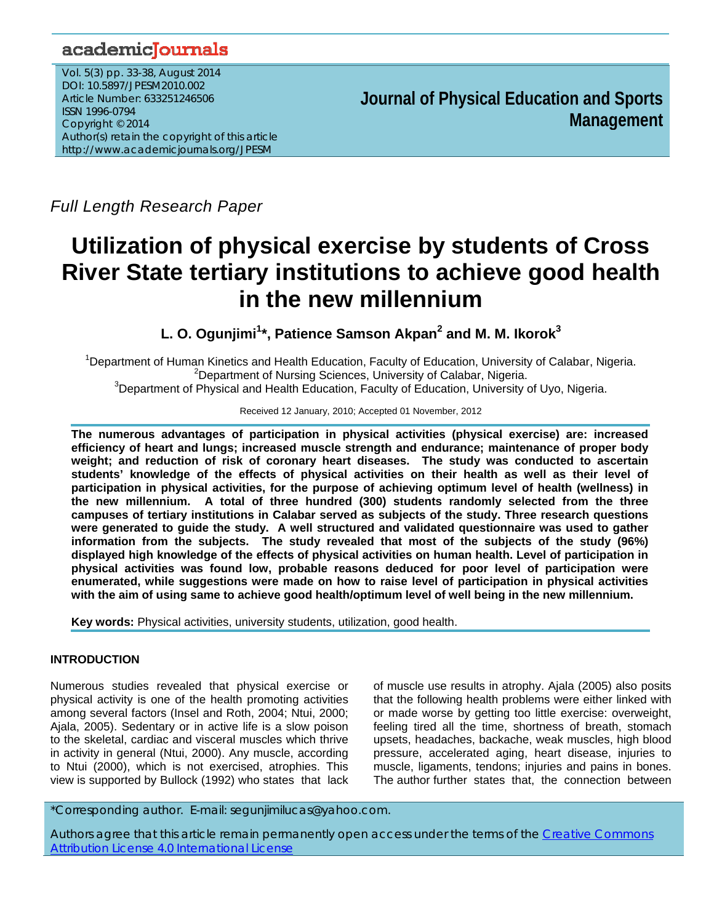# academicJournals

Vol. 5(3) pp. 33-38, August 2014 DOI: 10.5897/JPESM2010.002 Article Number: 633251246506 ISSN 1996-0794 Copyright © 2014 Author(s) retain the copyright of this article http://www.academicjournals.org/JPESM

**Journal of Physical Education and Sports Management**

*Full Length Research Paper* 

# **Utilization of physical exercise by students of Cross River State tertiary institutions to achieve good health in the new millennium**

L. O. Ogunjimi<sup>1</sup>\*, Patience Samson Akpan<sup>2</sup> and M. M. Ikorok<sup>3</sup>

<sup>1</sup>Department of Human Kinetics and Health Education, Faculty of Education, University of Calabar, Nigeria.  $2$ Department of Nursing Sciences, University of Calabar, Nigeria. <sup>3</sup>Department of Physical and Health Education, Faculty of Education, University of Uyo, Nigeria.

Received 12 January, 2010; Accepted 01 November, 2012

**The numerous advantages of participation in physical activities (physical exercise) are: increased efficiency of heart and lungs; increased muscle strength and endurance; maintenance of proper body weight; and reduction of risk of coronary heart diseases. The study was conducted to ascertain students' knowledge of the effects of physical activities on their health as well as their level of participation in physical activities, for the purpose of achieving optimum level of health (wellness) in the new millennium. A total of three hundred (300) students randomly selected from the three campuses of tertiary institutions in Calabar served as subjects of the study. Three research questions were generated to guide the study. A well structured and validated questionnaire was used to gather information from the subjects. The study revealed that most of the subjects of the study (96%) displayed high knowledge of the effects of physical activities on human health. Level of participation in physical activities was found low, probable reasons deduced for poor level of participation were enumerated, while suggestions were made on how to raise level of participation in physical activities with the aim of using same to achieve good health/optimum level of well being in the new millennium.** 

**Key words:** Physical activities, university students, utilization, good health.

# **INTRODUCTION**

Numerous studies revealed that physical exercise or physical activity is one of the health promoting activities among several factors (Insel and Roth, 2004; Ntui, 2000; Ajala, 2005). Sedentary or in active life is a slow poison to the skeletal, cardiac and visceral muscles which thrive in activity in general (Ntui, 2000). Any muscle, according to Ntui (2000), which is not exercised, atrophies. This view is supported by Bullock (1992) who states that lack

of muscle use results in atrophy. Ajala (2005) also posits that the following health problems were either linked with or made worse by getting too little exercise: overweight, feeling tired all the time, shortness of breath, stomach upsets, headaches, backache, weak muscles, high blood pressure, accelerated aging, heart disease, injuries to muscle, ligaments, tendons; injuries and pains in bones. The author further states that, the connection between

\*Corresponding author. E-mail: segunjimilucas@yahoo.com.

Authors agree that this article remain permanently open access under the terms of the Creative Commons Attribution License 4.0 International License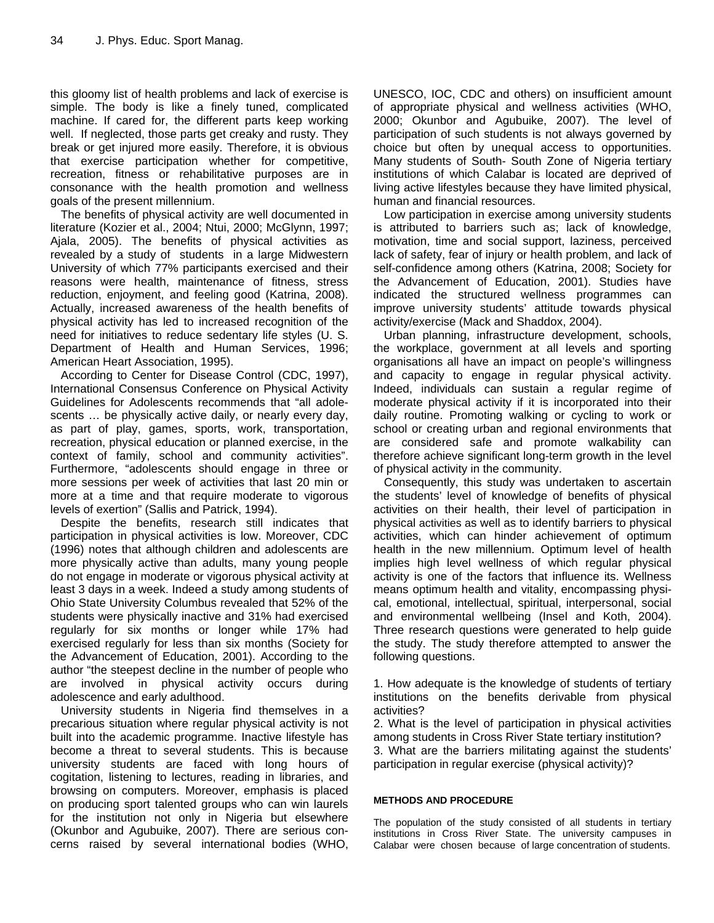this gloomy list of health problems and lack of exercise is simple. The body is like a finely tuned, complicated machine. If cared for, the different parts keep working well. If neglected, those parts get creaky and rusty. They break or get injured more easily. Therefore, it is obvious that exercise participation whether for competitive, recreation, fitness or rehabilitative purposes are in consonance with the health promotion and wellness goals of the present millennium.

The benefits of physical activity are well documented in literature (Kozier et al., 2004; Ntui, 2000; McGlynn, 1997; Ajala, 2005). The benefits of physical activities as revealed by a study of students in a large Midwestern University of which 77% participants exercised and their reasons were health, maintenance of fitness, stress reduction, enjoyment, and feeling good (Katrina, 2008). Actually, increased awareness of the health benefits of physical activity has led to increased recognition of the need for initiatives to reduce sedentary life styles (U. S. Department of Health and Human Services, 1996; American Heart Association, 1995).

According to Center for Disease Control (CDC, 1997), International Consensus Conference on Physical Activity Guidelines for Adolescents recommends that "all adolescents … be physically active daily, or nearly every day, as part of play, games, sports, work, transportation, recreation, physical education or planned exercise, in the context of family, school and community activities". Furthermore, "adolescents should engage in three or more sessions per week of activities that last 20 min or more at a time and that require moderate to vigorous levels of exertion" (Sallis and Patrick, 1994).

Despite the benefits, research still indicates that participation in physical activities is low. Moreover, CDC (1996) notes that although children and adolescents are more physically active than adults, many young people do not engage in moderate or vigorous physical activity at least 3 days in a week. Indeed a study among students of Ohio State University Columbus revealed that 52% of the students were physically inactive and 31% had exercised regularly for six months or longer while 17% had exercised regularly for less than six months (Society for the Advancement of Education, 2001). According to the author "the steepest decline in the number of people who are involved in physical activity occurs during adolescence and early adulthood.

University students in Nigeria find themselves in a precarious situation where regular physical activity is not built into the academic programme. Inactive lifestyle has become a threat to several students. This is because university students are faced with long hours of cogitation, listening to lectures, reading in libraries, and browsing on computers. Moreover, emphasis is placed on producing sport talented groups who can win laurels for the institution not only in Nigeria but elsewhere (Okunbor and Agubuike, 2007). There are serious concerns raised by several international bodies (WHO,

UNESCO, IOC, CDC and others) on insufficient amount of appropriate physical and wellness activities (WHO, 2000; Okunbor and Agubuike, 2007). The level of participation of such students is not always governed by choice but often by unequal access to opportunities. Many students of South- South Zone of Nigeria tertiary institutions of which Calabar is located are deprived of living active lifestyles because they have limited physical, human and financial resources.

Low participation in exercise among university students is attributed to barriers such as; lack of knowledge, motivation, time and social support, laziness, perceived lack of safety, fear of injury or health problem, and lack of self-confidence among others (Katrina, 2008; Society for the Advancement of Education, 2001). Studies have indicated the structured wellness programmes can improve university students' attitude towards physical activity/exercise (Mack and Shaddox, 2004).

Urban planning, infrastructure development, schools, the workplace, government at all levels and sporting organisations all have an impact on people's willingness and capacity to engage in regular physical activity. Indeed, individuals can sustain a regular regime of moderate physical activity if it is incorporated into their daily routine. Promoting walking or cycling to work or school or creating urban and regional environments that are considered safe and promote walkability can therefore achieve significant long-term growth in the level of physical activity in the community.

Consequently, this study was undertaken to ascertain the students' level of knowledge of benefits of physical activities on their health, their level of participation in physical activities as well as to identify barriers to physical activities, which can hinder achievement of optimum health in the new millennium. Optimum level of health implies high level wellness of which regular physical activity is one of the factors that influence its. Wellness means optimum health and vitality, encompassing physical, emotional, intellectual, spiritual, interpersonal, social and environmental wellbeing (Insel and Koth, 2004). Three research questions were generated to help guide the study. The study therefore attempted to answer the following questions.

1. How adequate is the knowledge of students of tertiary institutions on the benefits derivable from physical activities?

2. What is the level of participation in physical activities among students in Cross River State tertiary institution? 3. What are the barriers militating against the students' participation in regular exercise (physical activity)?

#### **METHODS AND PROCEDURE**

The population of the study consisted of all students in tertiary institutions in Cross River State. The university campuses in Calabar were chosen because of large concentration of students.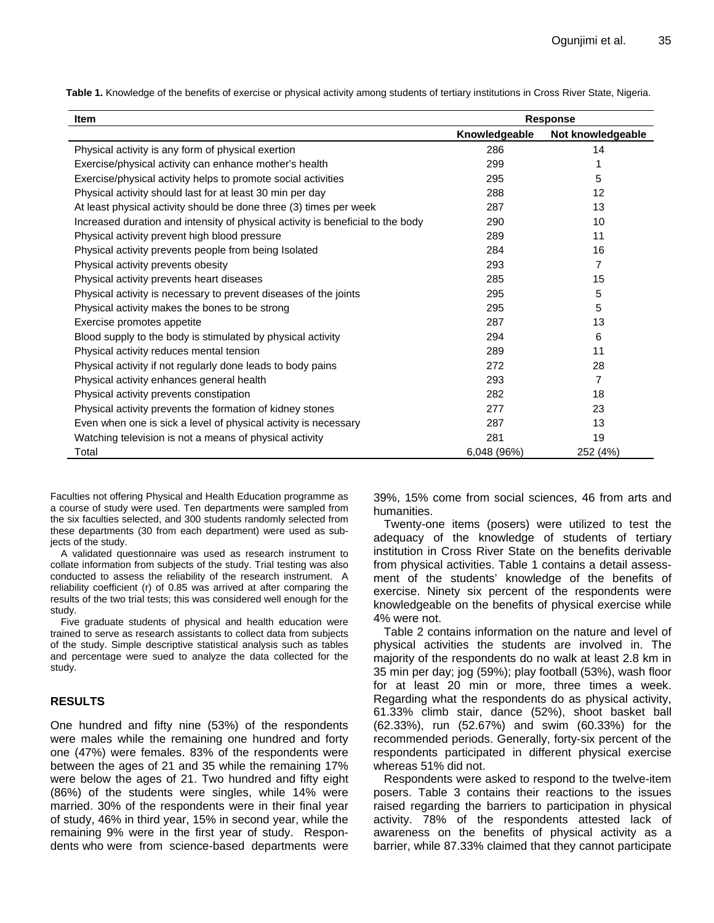**Table 1.** Knowledge of the benefits of exercise or physical activity among students of tertiary institutions in Cross River State, Nigeria.

| Item                                                                            | <b>Response</b> |                   |  |
|---------------------------------------------------------------------------------|-----------------|-------------------|--|
|                                                                                 | Knowledgeable   | Not knowledgeable |  |
| Physical activity is any form of physical exertion                              | 286             | 14                |  |
| Exercise/physical activity can enhance mother's health                          | 299             | 1                 |  |
| Exercise/physical activity helps to promote social activities                   | 295             | 5                 |  |
| Physical activity should last for at least 30 min per day                       | 288             | 12                |  |
| At least physical activity should be done three (3) times per week              | 287             | 13                |  |
| Increased duration and intensity of physical activity is beneficial to the body | 290             | 10                |  |
| Physical activity prevent high blood pressure                                   | 289             | 11                |  |
| Physical activity prevents people from being Isolated                           | 284             | 16                |  |
| Physical activity prevents obesity                                              | 293             | 7                 |  |
| Physical activity prevents heart diseases                                       | 285             | 15                |  |
| Physical activity is necessary to prevent diseases of the joints                | 295             | 5                 |  |
| Physical activity makes the bones to be strong                                  | 295             | 5                 |  |
| Exercise promotes appetite                                                      | 287             | 13                |  |
| Blood supply to the body is stimulated by physical activity                     | 294             | 6                 |  |
| Physical activity reduces mental tension                                        | 289             | 11                |  |
| Physical activity if not regularly done leads to body pains                     | 272             | 28                |  |
| Physical activity enhances general health                                       | 293             | 7                 |  |
| Physical activity prevents constipation                                         | 282             | 18                |  |
| Physical activity prevents the formation of kidney stones                       | 277             | 23                |  |
| Even when one is sick a level of physical activity is necessary                 | 287             | 13                |  |
| Watching television is not a means of physical activity                         | 281             | 19                |  |
| Total                                                                           | 6,048 (96%)     | 252 (4%)          |  |

Faculties not offering Physical and Health Education programme as a course of study were used. Ten departments were sampled from the six faculties selected, and 300 students randomly selected from these departments (30 from each department) were used as subjects of the study.

A validated questionnaire was used as research instrument to collate information from subjects of the study. Trial testing was also conducted to assess the reliability of the research instrument. A reliability coefficient (r) of 0.85 was arrived at after comparing the results of the two trial tests; this was considered well enough for the study.

Five graduate students of physical and health education were trained to serve as research assistants to collect data from subjects of the study. Simple descriptive statistical analysis such as tables and percentage were sued to analyze the data collected for the study.

# **RESULTS**

One hundred and fifty nine (53%) of the respondents were males while the remaining one hundred and forty one (47%) were females. 83% of the respondents were between the ages of 21 and 35 while the remaining 17% were below the ages of 21. Two hundred and fifty eight (86%) of the students were singles, while 14% were married. 30% of the respondents were in their final year of study, 46% in third year, 15% in second year, while the remaining 9% were in the first year of study. Respondents who were from science-based departments were 39%, 15% come from social sciences, 46 from arts and humanities.

Twenty-one items (posers) were utilized to test the adequacy of the knowledge of students of tertiary institution in Cross River State on the benefits derivable from physical activities. Table 1 contains a detail assessment of the students' knowledge of the benefits of exercise. Ninety six percent of the respondents were knowledgeable on the benefits of physical exercise while 4% were not.

Table 2 contains information on the nature and level of physical activities the students are involved in. The majority of the respondents do no walk at least 2.8 km in 35 min per day; jog (59%); play football (53%), wash floor for at least 20 min or more, three times a week. Regarding what the respondents do as physical activity, 61.33% climb stair, dance (52%), shoot basket ball (62.33%), run (52.67%) and swim (60.33%) for the recommended periods. Generally, forty-six percent of the respondents participated in different physical exercise whereas 51% did not.

Respondents were asked to respond to the twelve-item posers. Table 3 contains their reactions to the issues raised regarding the barriers to participation in physical activity. 78% of the respondents attested lack of awareness on the benefits of physical activity as a barrier, while 87.33% claimed that they cannot participate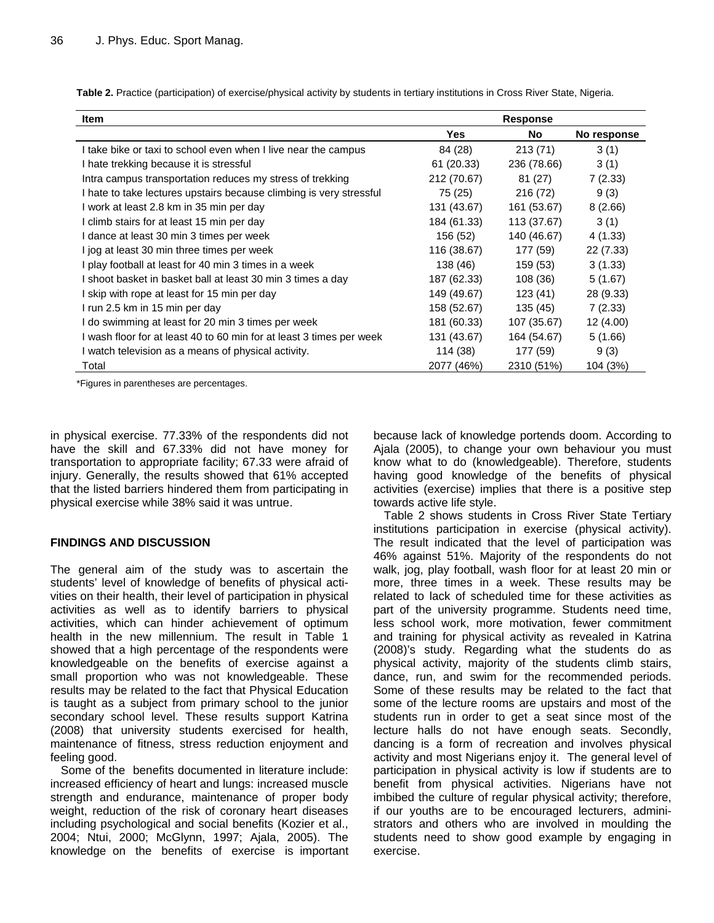| <b>Item</b>                                                          | <b>Response</b> |             |             |
|----------------------------------------------------------------------|-----------------|-------------|-------------|
|                                                                      | <b>Yes</b>      | No          | No response |
| I take bike or taxi to school even when I live near the campus       | 84 (28)         | 213 (71)    | 3(1)        |
| I hate trekking because it is stressful                              | 61 (20.33)      | 236 (78.66) | 3(1)        |
| Intra campus transportation reduces my stress of trekking            | 212 (70.67)     | 81 (27)     | 7(2.33)     |
| I hate to take lectures upstairs because climbing is very stressful  | 75 (25)         | 216 (72)    | 9(3)        |
| I work at least 2.8 km in 35 min per day                             | 131 (43.67)     | 161 (53.67) | 8(2.66)     |
| I climb stairs for at least 15 min per day                           | 184 (61.33)     | 113 (37.67) | 3(1)        |
| I dance at least 30 min 3 times per week                             | 156 (52)        | 140 (46.67) | 4(1.33)     |
| I jog at least 30 min three times per week                           | 116 (38.67)     | 177 (59)    | 22 (7.33)   |
| I play football at least for 40 min 3 times in a week                | 138 (46)        | 159 (53)    | 3(1.33)     |
| I shoot basket in basket ball at least 30 min 3 times a day          | 187 (62.33)     | 108 (36)    | 5(1.67)     |
| I skip with rope at least for 15 min per day                         | 149 (49.67)     | 123(41)     | 28 (9.33)   |
| I run 2.5 km in 15 min per day                                       | 158 (52.67)     | 135 (45)    | 7(2.33)     |
| I do swimming at least for 20 min 3 times per week                   | 181 (60.33)     | 107 (35.67) | 12 (4.00)   |
| I wash floor for at least 40 to 60 min for at least 3 times per week | 131 (43.67)     | 164 (54.67) | 5(1.66)     |
| I watch television as a means of physical activity.                  | 114 (38)        | 177 (59)    | 9(3)        |
| Total                                                                | 2077 (46%)      | 2310 (51%)  | 104 (3%)    |

**Table 2.** Practice (participation) of exercise/physical activity by students in tertiary institutions in Cross River State, Nigeria.

\*Figures in parentheses are percentages.

in physical exercise. 77.33% of the respondents did not have the skill and 67.33% did not have money for transportation to appropriate facility; 67.33 were afraid of injury. Generally, the results showed that 61% accepted that the listed barriers hindered them from participating in physical exercise while 38% said it was untrue.

# **FINDINGS AND DISCUSSION**

The general aim of the study was to ascertain the students' level of knowledge of benefits of physical activities on their health, their level of participation in physical activities as well as to identify barriers to physical activities, which can hinder achievement of optimum health in the new millennium. The result in Table 1 showed that a high percentage of the respondents were knowledgeable on the benefits of exercise against a small proportion who was not knowledgeable. These results may be related to the fact that Physical Education is taught as a subject from primary school to the junior secondary school level. These results support Katrina (2008) that university students exercised for health, maintenance of fitness, stress reduction enjoyment and feeling good.

Some of the benefits documented in literature include: increased efficiency of heart and lungs: increased muscle strength and endurance, maintenance of proper body weight, reduction of the risk of coronary heart diseases including psychological and social benefits (Kozier et al., 2004; Ntui, 2000; McGlynn, 1997; Ajala, 2005). The knowledge on the benefits of exercise is important because lack of knowledge portends doom. According to Ajala (2005), to change your own behaviour you must know what to do (knowledgeable). Therefore, students having good knowledge of the benefits of physical activities (exercise) implies that there is a positive step towards active life style.

Table 2 shows students in Cross River State Tertiary institutions participation in exercise (physical activity). The result indicated that the level of participation was 46% against 51%. Majority of the respondents do not walk, jog, play football, wash floor for at least 20 min or more, three times in a week. These results may be related to lack of scheduled time for these activities as part of the university programme. Students need time, less school work, more motivation, fewer commitment and training for physical activity as revealed in Katrina (2008)'s study. Regarding what the students do as physical activity, majority of the students climb stairs, dance, run, and swim for the recommended periods. Some of these results may be related to the fact that some of the lecture rooms are upstairs and most of the students run in order to get a seat since most of the lecture halls do not have enough seats. Secondly, dancing is a form of recreation and involves physical activity and most Nigerians enjoy it. The general level of participation in physical activity is low if students are to benefit from physical activities. Nigerians have not imbibed the culture of regular physical activity; therefore, if our youths are to be encouraged lecturers, administrators and others who are involved in moulding the students need to show good example by engaging in exercise.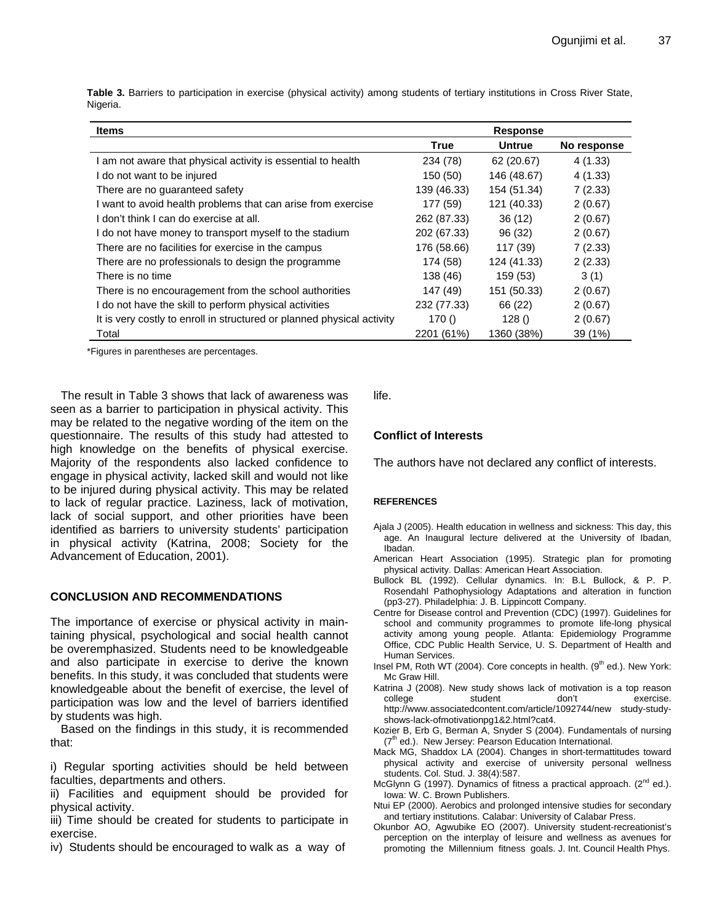**Table 3.** Barriers to participation in exercise (physical activity) among students of tertiary institutions in Cross River State, Nigeria.

| Items                                                                  | <b>Response</b> |               |             |
|------------------------------------------------------------------------|-----------------|---------------|-------------|
|                                                                        | True            | <b>Untrue</b> | No response |
| am not aware that physical activity is essential to health             | 234 (78)        | 62 (20.67)    | 4(1.33)     |
| I do not want to be injured                                            | 150 (50)        | 146 (48.67)   | 4(1.33)     |
| There are no guaranteed safety                                         | 139 (46.33)     | 154 (51.34)   | 7(2.33)     |
| I want to avoid health problems that can arise from exercise           | 177 (59)        | 121 (40.33)   | 2(0.67)     |
| don't think I can do exercise at all.                                  | 262 (87.33)     | 36(12)        | 2(0.67)     |
| do not have money to transport myself to the stadium                   | 202 (67.33)     | 96 (32)       | 2(0.67)     |
| There are no facilities for exercise in the campus                     | 176 (58.66)     | 117(39)       | 7(2.33)     |
| There are no professionals to design the programme                     | 174 (58)        | 124 (41.33)   | 2(2.33)     |
| There is no time                                                       | 138 (46)        | 159 (53)      | 3(1)        |
| There is no encouragement from the school authorities                  | 147 (49)        | 151 (50.33)   | 2(0.67)     |
| I do not have the skill to perform physical activities                 | 232 (77.33)     | 66 (22)       | 2(0.67)     |
| It is very costly to enroll in structured or planned physical activity | 170()           | 128()         | 2(0.67)     |
| Total                                                                  | 2201 (61%)      | 1360 (38%)    | 39 (1%)     |

\*Figures in parentheses are percentages.

The result in Table 3 shows that lack of awareness was seen as a barrier to participation in physical activity. This may be related to the negative wording of the item on the questionnaire. The results of this study had attested to high knowledge on the benefits of physical exercise. Majority of the respondents also lacked confidence to engage in physical activity, lacked skill and would not like to be injured during physical activity. This may be related to lack of regular practice. Laziness, lack of motivation, lack of social support, and other priorities have been identified as barriers to university students' participation in physical activity (Katrina, 2008; Society for the Advancement of Education, 2001).

#### **CONCLUSION AND RECOMMENDATIONS**

The importance of exercise or physical activity in maintaining physical, psychological and social health cannot be overemphasized. Students need to be knowledgeable and also participate in exercise to derive the known benefits. In this study, it was concluded that students were knowledgeable about the benefit of exercise, the level of participation was low and the level of barriers identified by students was high.

Based on the findings in this study, it is recommended that:

i) Regular sporting activities should be held between faculties, departments and others.

ii) Facilities and equipment should be provided for physical activity.

iii) Time should be created for students to participate in exercise.

iv) Students should be encouraged to walk as a way of

life.

### **Conflict of Interests**

The authors have not declared any conflict of interests.

#### **REFERENCES**

- Ajala J (2005). Health education in wellness and sickness: This day, this age. An Inaugural lecture delivered at the University of Ibadan, Ibadan.
- American Heart Association (1995). Strategic plan for promoting physical activity. Dallas: American Heart Association.
- Bullock BL (1992). Cellular dynamics. In: B.L Bullock, & P. P. Rosendahl Pathophysiology Adaptations and alteration in function (pp3-27). Philadelphia: J. B. Lippincott Company.
- Centre for Disease control and Prevention (CDC) (1997). Guidelines for school and community programmes to promote life-long physical activity among young people. Atlanta: Epidemiology Programme Office, CDC Public Health Service, U. S. Department of Health and Human Services.
- Insel PM, Roth WT (2004). Core concepts in health.  $(9<sup>th</sup>$  ed.). New York: Mc Graw Hill.
- Katrina J (2008). New study shows lack of motivation is a top reason college student don't exercise. http://www.associatedcontent.com/article/1092744/new study-studyshows-lack-ofmotivationpg1&2.html?cat4.
- Kozier B, Erb G, Berman A, Snyder S (2004). Fundamentals of nursing  $(7<sup>th</sup>$  ed.). New Jersey: Pearson Education International.
- Mack MG, Shaddox LA (2004). Changes in short-termattitudes toward physical activity and exercise of university personal wellness students. Col. Stud. J. 38(4):587.
- McGlynn G (1997). Dynamics of fitness a practical approach.  $(2^{nd}$  ed.). Iowa: W. C. Brown Publishers.
- Ntui EP (2000). Aerobics and prolonged intensive studies for secondary and tertiary institutions. Calabar: University of Calabar Press.
- Okunbor AO, Agwubike EO (2007). University student-recreationist's perception on the interplay of leisure and wellness as avenues for promoting the Millennium fitness goals. J. Int. Council Health Phys.